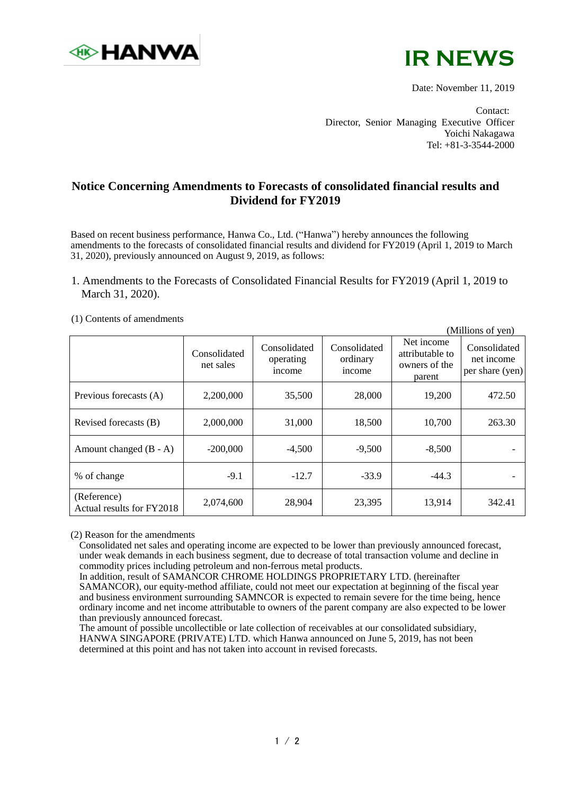



Date: November 11, 2019

(Millions of yen)

Contact: Director, Senior Managing Executive Officer Yoichi Nakagawa Tel: +81-3-3544-2000

## **Notice Concerning Amendments to Forecasts of consolidated financial results and Dividend for FY2019**

Based on recent business performance, Hanwa Co., Ltd. ("Hanwa") hereby announces the following amendments to the forecasts of consolidated financial results and dividend for FY2019 (April 1, 2019 to March 31, 2020), previously announced on August 9, 2019, as follows:

## 1. Amendments to the Forecasts of Consolidated Financial Results for FY2019 (April 1, 2019 to March 31, 2020).

|                                          |                           | $\mu$                               |                                    |                                                          |                                               |
|------------------------------------------|---------------------------|-------------------------------------|------------------------------------|----------------------------------------------------------|-----------------------------------------------|
|                                          | Consolidated<br>net sales | Consolidated<br>operating<br>income | Consolidated<br>ordinary<br>income | Net income<br>attributable to<br>owners of the<br>parent | Consolidated<br>net income<br>per share (yen) |
| Previous forecasts (A)                   | 2,200,000                 | 35,500                              | 28,000                             | 19,200                                                   | 472.50                                        |
| Revised forecasts (B)                    | 2,000,000                 | 31,000                              | 18,500                             | 10,700                                                   | 263.30                                        |
| Amount changed $(B - A)$                 | $-200,000$                | $-4,500$                            | $-9,500$                           | $-8,500$                                                 |                                               |
| % of change                              | $-9.1$                    | $-12.7$                             | $-33.9$                            | $-44.3$                                                  |                                               |
| (Reference)<br>Actual results for FY2018 | 2,074,600                 | 28,904                              | 23,395                             | 13,914                                                   | 342.41                                        |

(1) Contents of amendments

(2) Reason for the amendments

Consolidated net sales and operating income are expected to be lower than previously announced forecast, under weak demands in each business segment, due to decrease of total transaction volume and decline in commodity prices including petroleum and non-ferrous metal products.

In addition, result of SAMANCOR CHROME HOLDINGS PROPRIETARY LTD. (hereinafter SAMANCOR), our equity-method affiliate, could not meet our expectation at beginning of the fiscal year and business environment surrounding SAMNCOR is expected to remain severe for the time being, hence ordinary income and net income attributable to owners of the parent company are also expected to be lower than previously announced forecast.

The amount of possible uncollectible or late collection of receivables at our consolidated subsidiary, HANWA SINGAPORE (PRIVATE) LTD. which Hanwa announced on June 5, 2019, has not been determined at this point and has not taken into account in revised forecasts.